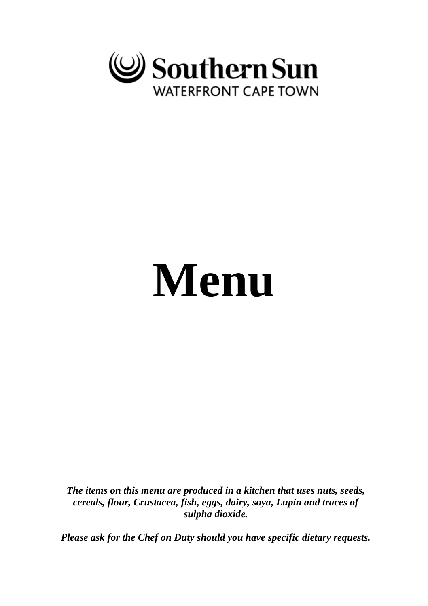

# **Menu**

*The items on this menu are produced in a kitchen that uses nuts, seeds, cereals, flour, Crustacea, fish, eggs, dairy, soya, Lupin and traces of sulpha dioxide.*

*Please ask for the Chef on Duty should you have specific dietary requests.*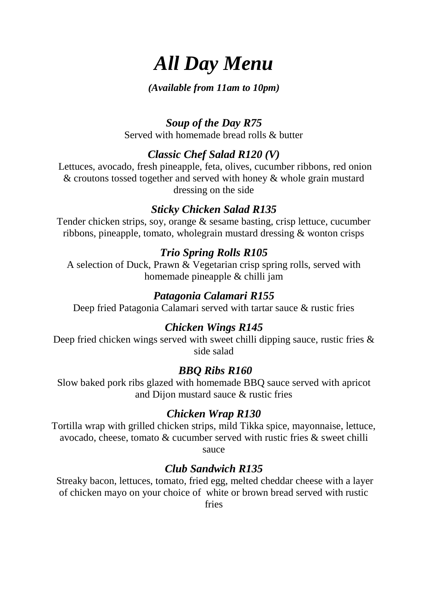## *All Day Menu*

#### *(Available from 11am to 10pm)*

#### *Soup of the Day R75*

Served with homemade bread rolls & butter

#### *Classic Chef Salad R120 (V)*

Lettuces, avocado, fresh pineapple, feta, olives, cucumber ribbons, red onion & croutons tossed together and served with honey & whole grain mustard dressing on the side

#### *Sticky Chicken Salad R135*

Tender chicken strips, soy, orange & sesame basting, crisp lettuce, cucumber ribbons, pineapple, tomato, wholegrain mustard dressing & wonton crisps

#### *Trio Spring Rolls R105*

A selection of Duck, Prawn & Vegetarian crisp spring rolls, served with homemade pineapple & chilli jam

#### *Patagonia Calamari R155*

Deep fried Patagonia Calamari served with tartar sauce & rustic fries

#### *Chicken Wings R145*

Deep fried chicken wings served with sweet chilli dipping sauce, rustic fries  $\&$ side salad

#### *BBQ Ribs R160*

Slow baked pork ribs glazed with homemade BBQ sauce served with apricot and Dijon mustard sauce & rustic fries

#### *Chicken Wrap R130*

Tortilla wrap with grilled chicken strips, mild Tikka spice, mayonnaise, lettuce, avocado, cheese, tomato & cucumber served with rustic fries & sweet chilli sauce

#### *Club Sandwich R135*

Streaky bacon, lettuces, tomato, fried egg, melted cheddar cheese with a layer of chicken mayo on your choice of white or brown bread served with rustic fries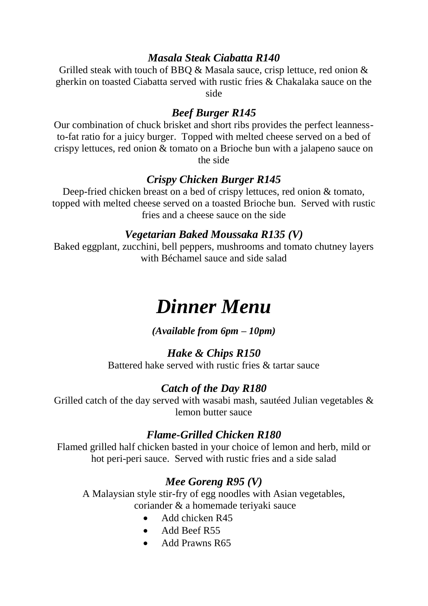#### *Masala Steak Ciabatta R140*

Grilled steak with touch of BBO & Masala sauce, crisp lettuce, red onion & gherkin on toasted Ciabatta served with rustic fries & Chakalaka sauce on the side

#### *Beef Burger R145*

Our combination of chuck brisket and short ribs provides the perfect leannessto-fat ratio for a juicy burger. Topped with melted cheese served on a bed of crispy lettuces, red onion & tomato on a Brioche bun with a jalapeno sauce on the side

#### *Crispy Chicken Burger R145*

Deep-fried chicken breast on a bed of crispy lettuces, red onion & tomato, topped with melted cheese served on a toasted Brioche bun. Served with rustic fries and a cheese sauce on the side

#### *Vegetarian Baked Moussaka R135 (V)*

Baked eggplant, zucchini, bell peppers, mushrooms and tomato chutney layers with Béchamel sauce and side salad

## *Dinner Menu*

*(Available from 6pm – 10pm)*

#### *Hake & Chips R150*

Battered hake served with rustic fries & tartar sauce

#### *Catch of the Day R180*

Grilled catch of the day served with wasabi mash, sautéed Julian vegetables  $\&$ lemon butter sauce

#### *Flame-Grilled Chicken R180*

Flamed grilled half chicken basted in your choice of lemon and herb, mild or hot peri-peri sauce. Served with rustic fries and a side salad

#### *Mee Goreng R95 (V)*

A Malaysian style stir-fry of egg noodles with Asian vegetables, coriander & a homemade teriyaki sauce

- Add chicken R45
- Add Beef R55
- Add Prawns R65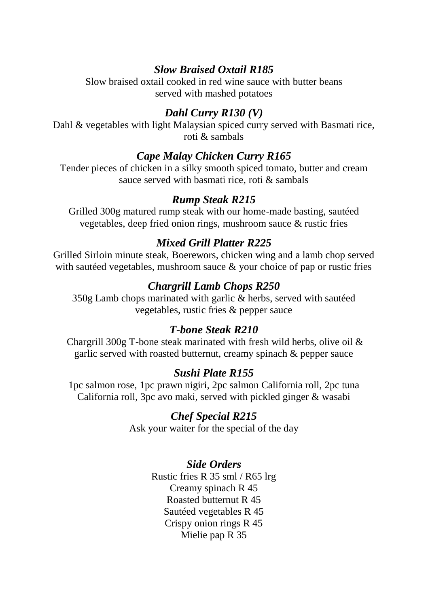#### *Slow Braised Oxtail R185*

Slow braised oxtail cooked in red wine sauce with butter beans served with mashed potatoes

#### *Dahl Curry R130 (V)*

Dahl & vegetables with light Malaysian spiced curry served with Basmati rice, roti & sambals

#### *Cape Malay Chicken Curry R165*

Tender pieces of chicken in a silky smooth spiced tomato, butter and cream sauce served with basmati rice, roti & sambals

#### *Rump Steak R215*

Grilled 300g matured rump steak with our home-made basting, sautéed vegetables, deep fried onion rings, mushroom sauce & rustic fries

#### *Mixed Grill Platter R225*

Grilled Sirloin minute steak, Boerewors, chicken wing and a lamb chop served with sautéed vegetables, mushroom sauce & your choice of pap or rustic fries

#### *Chargrill Lamb Chops R250*

350g Lamb chops marinated with garlic & herbs, served with sautéed vegetables, rustic fries & pepper sauce

#### *T-bone Steak R210*

Chargrill 300g T-bone steak marinated with fresh wild herbs, olive oil & garlic served with roasted butternut, creamy spinach & pepper sauce

#### *Sushi Plate R155*

1pc salmon rose, 1pc prawn nigiri, 2pc salmon California roll, 2pc tuna California roll, 3pc avo maki, served with pickled ginger & wasabi

#### *Chef Special R215*

Ask your waiter for the special of the day

#### *Side Orders*

Rustic fries R 35 sml / R65 lrg Creamy spinach R 45 Roasted butternut R 45 Sautéed vegetables R 45 Crispy onion rings R 45 Mielie pap R 35